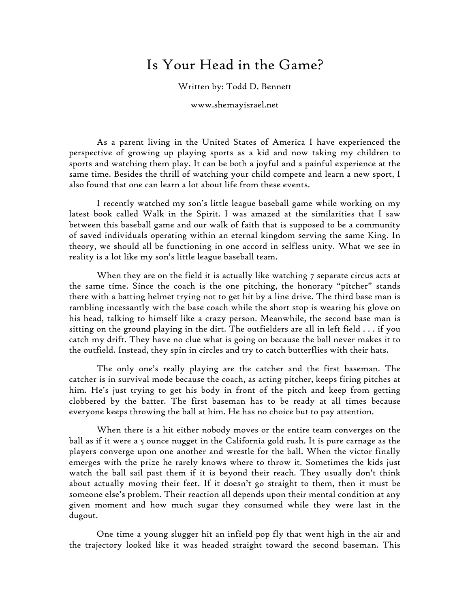## Is Your Head in the Game?

Written by: Todd D. Bennett

www.shemayisrael.net

As a parent living in the United States of America I have experienced the perspective of growing up playing sports as a kid and now taking my children to sports and watching them play. It can be both a joyful and a painful experience at the same time. Besides the thrill of watching your child compete and learn a new sport, I also found that one can learn a lot about life from these events.

I recently watched my son's little league baseball game while working on my latest book called Walk in the Spirit. I was amazed at the similarities that I saw between this baseball game and our walk of faith that is supposed to be a community of saved individuals operating within an eternal kingdom serving the same King. In theory, we should all be functioning in one accord in selfless unity. What we see in reality is a lot like my son's little league baseball team.

When they are on the field it is actually like watching 7 separate circus acts at the same time. Since the coach is the one pitching, the honorary "pitcher" stands there with a batting helmet trying not to get hit by a line drive. The third base man is rambling incessantly with the base coach while the short stop is wearing his glove on his head, talking to himself like a crazy person. Meanwhile, the second base man is sitting on the ground playing in the dirt. The outfielders are all in left field . . . if you catch my drift. They have no clue what is going on because the ball never makes it to the outfield. Instead, they spin in circles and try to catch butterflies with their hats.

The only one's really playing are the catcher and the first baseman. The catcher is in survival mode because the coach, as acting pitcher, keeps firing pitches at him. He's just trying to get his body in front of the pitch and keep from getting clobbered by the batter. The first baseman has to be ready at all times because everyone keeps throwing the ball at him. He has no choice but to pay attention.

When there is a hit either nobody moves or the entire team converges on the ball as if it were a 5 ounce nugget in the California gold rush. It is pure carnage as the players converge upon one another and wrestle for the ball. When the victor finally emerges with the prize he rarely knows where to throw it. Sometimes the kids just watch the ball sail past them if it is beyond their reach. They usually don't think about actually moving their feet. If it doesn't go straight to them, then it must be someone else's problem. Their reaction all depends upon their mental condition at any given moment and how much sugar they consumed while they were last in the dugout.

One time a young slugger hit an infield pop fly that went high in the air and the trajectory looked like it was headed straight toward the second baseman. This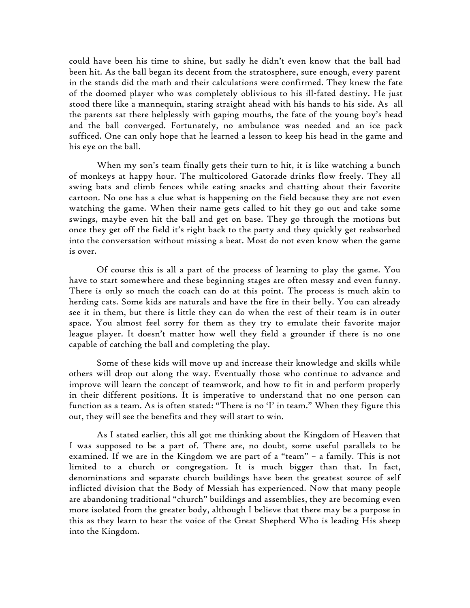could have been his time to shine, but sadly he didn't even know that the ball had been hit. As the ball began its decent from the stratosphere, sure enough, every parent in the stands did the math and their calculations were confirmed. They knew the fate of the doomed player who was completely oblivious to his ill-fated destiny. He just stood there like a mannequin, staring straight ahead with his hands to his side. As all the parents sat there helplessly with gaping mouths, the fate of the young boy's head and the ball converged. Fortunately, no ambulance was needed and an ice pack sufficed. One can only hope that he learned a lesson to keep his head in the game and his eye on the ball.

When my son's team finally gets their turn to hit, it is like watching a bunch of monkeys at happy hour. The multicolored Gatorade drinks flow freely. They all swing bats and climb fences while eating snacks and chatting about their favorite cartoon. No one has a clue what is happening on the field because they are not even watching the game. When their name gets called to hit they go out and take some swings, maybe even hit the ball and get on base. They go through the motions but once they get off the field it's right back to the party and they quickly get reabsorbed into the conversation without missing a beat. Most do not even know when the game is over.

Of course this is all a part of the process of learning to play the game. You have to start somewhere and these beginning stages are often messy and even funny. There is only so much the coach can do at this point. The process is much akin to herding cats. Some kids are naturals and have the fire in their belly. You can already see it in them, but there is little they can do when the rest of their team is in outer space. You almost feel sorry for them as they try to emulate their favorite major league player. It doesn't matter how well they field a grounder if there is no one capable of catching the ball and completing the play.

Some of these kids will move up and increase their knowledge and skills while others will drop out along the way. Eventually those who continue to advance and improve will learn the concept of teamwork, and how to fit in and perform properly in their different positions. It is imperative to understand that no one person can function as a team. As is often stated: "There is no 'I' in team." When they figure this out, they will see the benefits and they will start to win.

As I stated earlier, this all got me thinking about the Kingdom of Heaven that I was supposed to be a part of. There are, no doubt, some useful parallels to be examined. If we are in the Kingdom we are part of a "team" – a family. This is not limited to a church or congregation. It is much bigger than that. In fact, denominations and separate church buildings have been the greatest source of self inflicted division that the Body of Messiah has experienced. Now that many people are abandoning traditional "church" buildings and assemblies, they are becoming even more isolated from the greater body, although I believe that there may be a purpose in this as they learn to hear the voice of the Great Shepherd Who is leading His sheep into the Kingdom.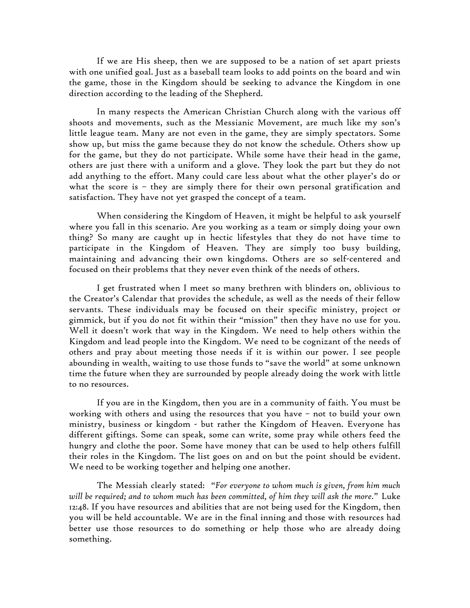If we are His sheep, then we are supposed to be a nation of set apart priests with one unified goal. Just as a baseball team looks to add points on the board and win the game, those in the Kingdom should be seeking to advance the Kingdom in one direction according to the leading of the Shepherd.

In many respects the American Christian Church along with the various off shoots and movements, such as the Messianic Movement, are much like my son's little league team. Many are not even in the game, they are simply spectators. Some show up, but miss the game because they do not know the schedule. Others show up for the game, but they do not participate. While some have their head in the game, others are just there with a uniform and a glove. They look the part but they do not add anything to the effort. Many could care less about what the other player's do or what the score is – they are simply there for their own personal gratification and satisfaction. They have not yet grasped the concept of a team.

When considering the Kingdom of Heaven, it might be helpful to ask yourself where you fall in this scenario. Are you working as a team or simply doing your own thing? So many are caught up in hectic lifestyles that they do not have time to participate in the Kingdom of Heaven. They are simply too busy building, maintaining and advancing their own kingdoms. Others are so self-centered and focused on their problems that they never even think of the needs of others.

I get frustrated when I meet so many brethren with blinders on, oblivious to the Creator's Calendar that provides the schedule, as well as the needs of their fellow servants. These individuals may be focused on their specific ministry, project or gimmick, but if you do not fit within their "mission" then they have no use for you. Well it doesn't work that way in the Kingdom. We need to help others within the Kingdom and lead people into the Kingdom. We need to be cognizant of the needs of others and pray about meeting those needs if it is within our power. I see people abounding in wealth, waiting to use those funds to "save the world" at some unknown time the future when they are surrounded by people already doing the work with little to no resources.

If you are in the Kingdom, then you are in a community of faith. You must be working with others and using the resources that you have – not to build your own ministry, business or kingdom - but rather the Kingdom of Heaven. Everyone has different giftings. Some can speak, some can write, some pray while others feed the hungry and clothe the poor. Some have money that can be used to help others fulfill their roles in the Kingdom. The list goes on and on but the point should be evident. We need to be working together and helping one another.

The Messiah clearly stated: "*For everyone to whom much is given, from him much will be required; and to whom much has been committed, of him they will ask the more.*" Luke 12:48. If you have resources and abilities that are not being used for the Kingdom, then you will be held accountable. We are in the final inning and those with resources had better use those resources to do something or help those who are already doing something.